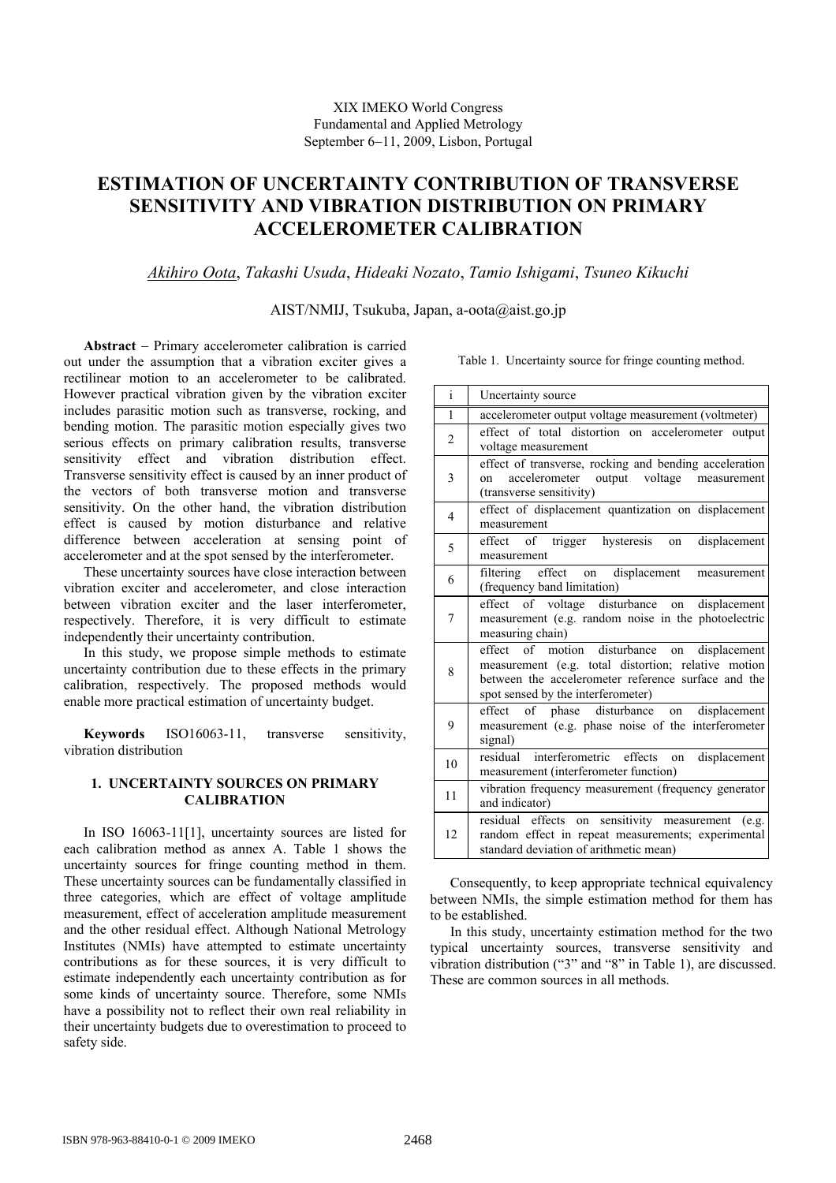# **ESTIMATION OF UNCERTAINTY CONTRIBUTION OF TRANSVERSE SENSITIVITY AND VIBRATION DISTRIBUTION ON PRIMARY ACCELEROMETER CALIBRATION**

*Akihiro Oota*, *Takashi Usuda*, *Hideaki Nozato*, *Tamio Ishigami*, *Tsuneo Kikuchi* 

AIST/NMIJ, Tsukuba, Japan, a-oota@aist.go.jp

**Abstract** − Primary accelerometer calibration is carried out under the assumption that a vibration exciter gives a rectilinear motion to an accelerometer to be calibrated. However practical vibration given by the vibration exciter includes parasitic motion such as transverse, rocking, and bending motion. The parasitic motion especially gives two serious effects on primary calibration results, transverse sensitivity effect and vibration distribution effect. Transverse sensitivity effect is caused by an inner product of the vectors of both transverse motion and transverse sensitivity. On the other hand, the vibration distribution effect is caused by motion disturbance and relative difference between acceleration at sensing point of accelerometer and at the spot sensed by the interferometer.

These uncertainty sources have close interaction between vibration exciter and accelerometer, and close interaction between vibration exciter and the laser interferometer, respectively. Therefore, it is very difficult to estimate independently their uncertainty contribution.

In this study, we propose simple methods to estimate uncertainty contribution due to these effects in the primary calibration, respectively. The proposed methods would enable more practical estimation of uncertainty budget.

**Keywords** ISO16063-11, transverse sensitivity, vibration distribution

## **1. UNCERTAINTY SOURCES ON PRIMARY CALIBRATION**

In ISO 16063-11[1], uncertainty sources are listed for each calibration method as annex A. Table 1 shows the uncertainty sources for fringe counting method in them. These uncertainty sources can be fundamentally classified in three categories, which are effect of voltage amplitude measurement, effect of acceleration amplitude measurement and the other residual effect. Although National Metrology Institutes (NMIs) have attempted to estimate uncertainty contributions as for these sources, it is very difficult to estimate independently each uncertainty contribution as for some kinds of uncertainty source. Therefore, some NMIs have a possibility not to reflect their own real reliability in their uncertainty budgets due to overestimation to proceed to safety side.

Table 1. Uncertainty source for fringe counting method.

| $\rm i$        | Uncertainty source                                                                                                                                                                               |
|----------------|--------------------------------------------------------------------------------------------------------------------------------------------------------------------------------------------------|
| $\mathbf{1}$   | accelerometer output voltage measurement (voltmeter)                                                                                                                                             |
| $\overline{2}$ | effect of total distortion on accelerometer output<br>voltage measurement                                                                                                                        |
| 3              | effect of transverse, rocking and bending acceleration<br>accelerometer output voltage measurement<br>on<br>(transverse sensitivity)                                                             |
| $\overline{4}$ | effect of displacement quantization on displacement<br>measurement                                                                                                                               |
| 5              | effect of trigger hysteresis on<br>displacement<br>measurement                                                                                                                                   |
| 6              | filtering effect on displacement measurement<br>(frequency band limitation)                                                                                                                      |
| 7              | effect of voltage disturbance on displacement<br>measurement (e.g. random noise in the photoelectric<br>measuring chain)                                                                         |
| 8              | effect of motion disturbance on displacement<br>measurement (e.g. total distortion; relative motion<br>between the accelerometer reference surface and the<br>spot sensed by the interferometer) |
| 9              | effect of phase disturbance on displacement<br>measurement (e.g. phase noise of the interferometer<br>signal)                                                                                    |
| 10             | residual interferometric effects<br>displacement<br>on<br>measurement (interferometer function)                                                                                                  |
| 11             | vibration frequency measurement (frequency generator<br>and indicator)                                                                                                                           |
| 12             | residual effects on sensitivity measurement (e.g.<br>random effect in repeat measurements; experimental<br>standard deviation of arithmetic mean)                                                |

Consequently, to keep appropriate technical equivalency between NMIs, the simple estimation method for them has to be established.

In this study, uncertainty estimation method for the two typical uncertainty sources, transverse sensitivity and vibration distribution ("3" and "8" in Table 1), are discussed. These are common sources in all methods.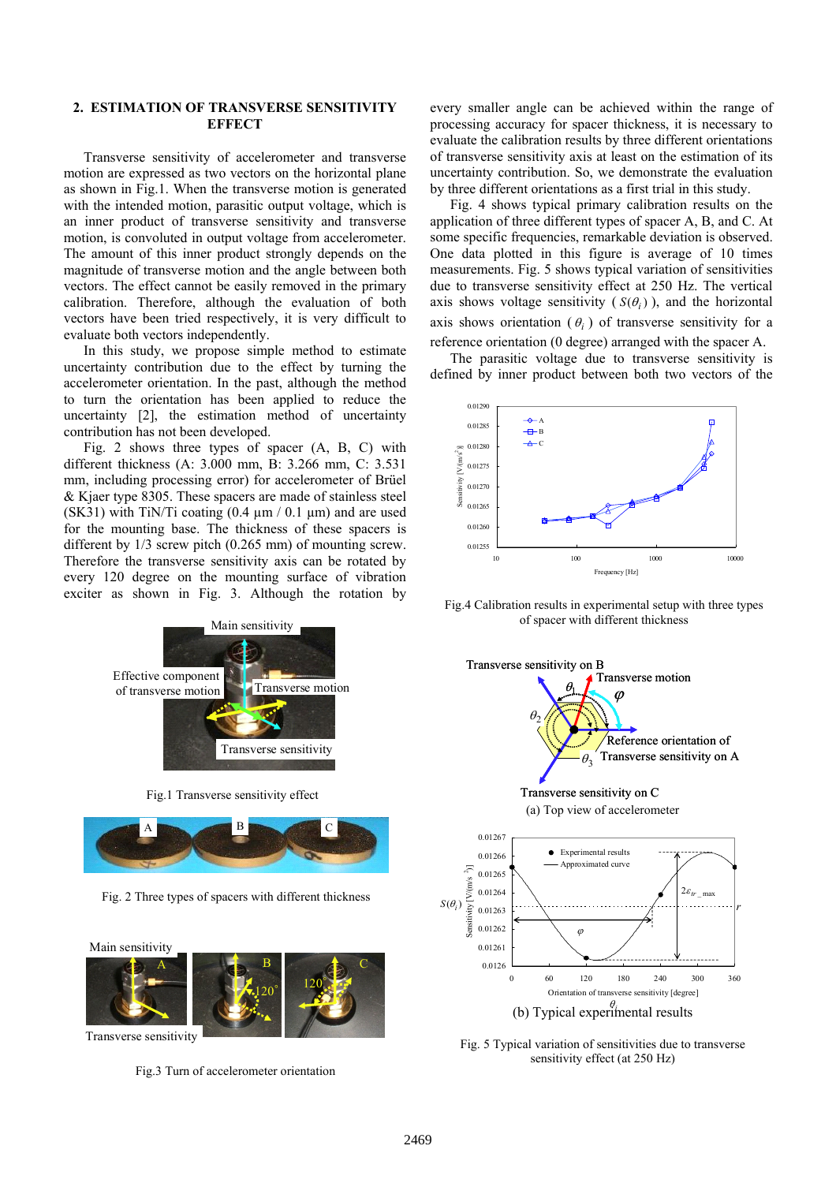## **2. ESTIMATION OF TRANSVERSE SENSITIVITY EFFECT**

Transverse sensitivity of accelerometer and transverse motion are expressed as two vectors on the horizontal plane as shown in Fig.1. When the transverse motion is generated with the intended motion, parasitic output voltage, which is an inner product of transverse sensitivity and transverse motion, is convoluted in output voltage from accelerometer. The amount of this inner product strongly depends on the magnitude of transverse motion and the angle between both vectors. The effect cannot be easily removed in the primary calibration. Therefore, although the evaluation of both vectors have been tried respectively, it is very difficult to evaluate both vectors independently.

In this study, we propose simple method to estimate uncertainty contribution due to the effect by turning the accelerometer orientation. In the past, although the method to turn the orientation has been applied to reduce the uncertainty [2], the estimation method of uncertainty contribution has not been developed.

Fig. 2 shows three types of spacer (A, B, C) with different thickness (A: 3.000 mm, B: 3.266 mm, C: 3.531 mm, including processing error) for accelerometer of Brüel & Kjaer type 8305. These spacers are made of stainless steel (SK31) with TiN/Ti coating  $(0.4 \mu m / 0.1 \mu m)$  and are used for the mounting base. The thickness of these spacers is different by 1/3 screw pitch (0.265 mm) of mounting screw. Therefore the transverse sensitivity axis can be rotated by every 120 degree on the mounting surface of vibration exciter as shown in Fig. 3. Although the rotation by



Fig.1 Transverse sensitivity effect



Fig. 2 Three types of spacers with different thickness

Main sensitivity



Transverse sensitivity

Fig.3 Turn of accelerometer orientation

every smaller angle can be achieved within the range of processing accuracy for spacer thickness, it is necessary to evaluate the calibration results by three different orientations of transverse sensitivity axis at least on the estimation of its uncertainty contribution. So, we demonstrate the evaluation by three different orientations as a first trial in this study.

Fig. 4 shows typical primary calibration results on the application of three different types of spacer A, B, and C. At some specific frequencies, remarkable deviation is observed. One data plotted in this figure is average of 10 times measurements. Fig. 5 shows typical variation of sensitivities due to transverse sensitivity effect at 250 Hz. The vertical axis shows voltage sensitivity  $(S(\theta_i))$ , and the horizontal axis shows orientation  $(\theta_i)$  of transverse sensitivity for a reference orientation (0 degree) arranged with the spacer A.

The parasitic voltage due to transverse sensitivity is defined by inner product between both two vectors of the



Fig.4 Calibration results in experimental setup with three types of spacer with different thickness



Fig. 5 Typical variation of sensitivities due to transverse sensitivity effect (at 250 Hz)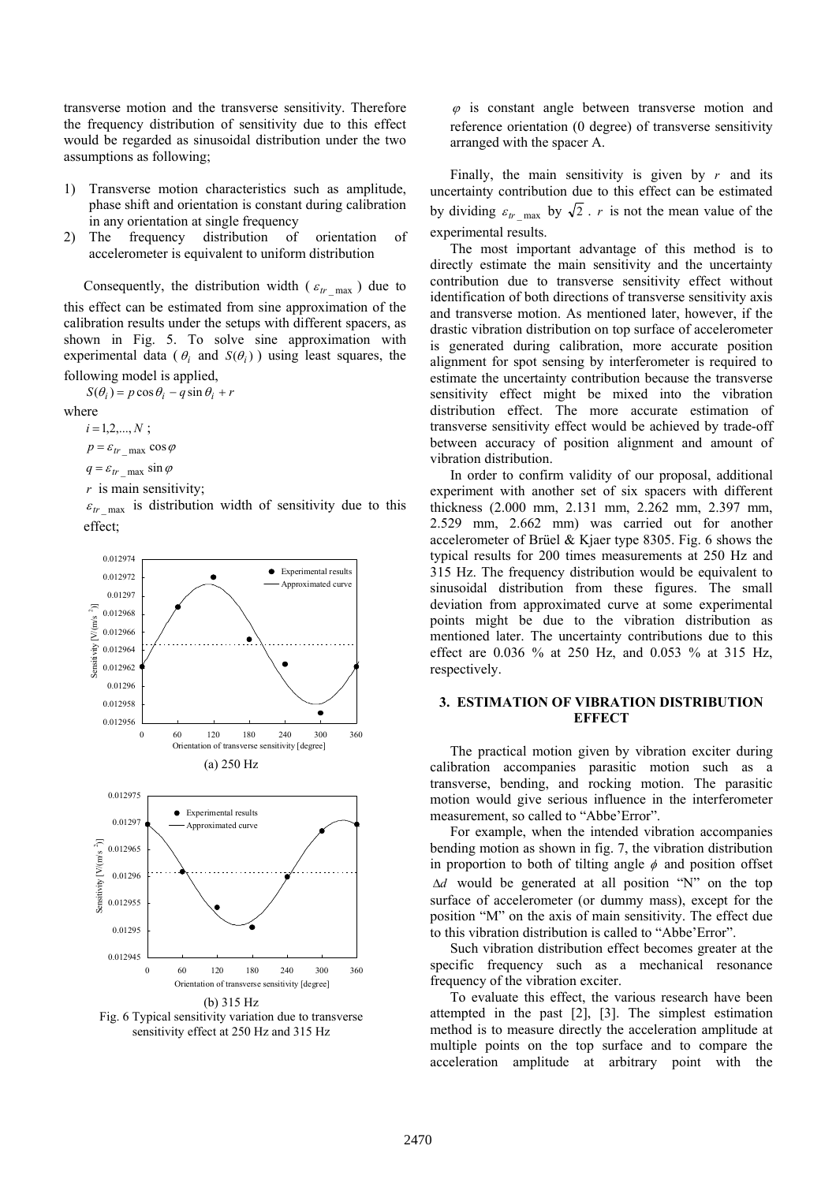transverse motion and the transverse sensitivity. Therefore the frequency distribution of sensitivity due to this effect would be regarded as sinusoidal distribution under the two assumptions as following;

- 1) Transverse motion characteristics such as amplitude, phase shift and orientation is constant during calibration in any orientation at single frequency
- 2) The frequency distribution of orientation of accelerometer is equivalent to uniform distribution

Consequently, the distribution width ( $\varepsilon_{tr \max}$ ) due to this effect can be estimated from sine approximation of the calibration results under the setups with different spacers, as shown in Fig. 5. To solve sine approximation with experimental data ( $\theta_i$  and  $S(\theta_i)$ ) using least squares, the following model is applied,

 $S(\theta_i) = p \cos \theta_i - q \sin \theta_i + r$ 

#### where

 $i = 1, 2, ..., N;$  $p = \varepsilon_{tr}$  max cos  $\varphi$ 

 $q = \varepsilon_{tr}$  <sub>max</sub> sin  $\varphi$ 

*r* is main sensitivity;

 $\varepsilon_{tr}$  max is distribution width of sensitivity due to this effect;



Fig. 6 Typical sensitivity variation due to transverse sensitivity effect at 250 Hz and 315 Hz

 $\varphi$  is constant angle between transverse motion and reference orientation (0 degree) of transverse sensitivity arranged with the spacer A.

Finally, the main sensitivity is given by  $r$  and its uncertainty contribution due to this effect can be estimated by dividing  $\varepsilon_{tr}$   $_{\text{max}}$  by  $\sqrt{2}$ . *r* is not the mean value of the experimental results.

The most important advantage of this method is to directly estimate the main sensitivity and the uncertainty contribution due to transverse sensitivity effect without identification of both directions of transverse sensitivity axis and transverse motion. As mentioned later, however, if the drastic vibration distribution on top surface of accelerometer is generated during calibration, more accurate position alignment for spot sensing by interferometer is required to estimate the uncertainty contribution because the transverse sensitivity effect might be mixed into the vibration distribution effect. The more accurate estimation of transverse sensitivity effect would be achieved by trade-off between accuracy of position alignment and amount of vibration distribution.

In order to confirm validity of our proposal, additional experiment with another set of six spacers with different thickness (2.000 mm, 2.131 mm, 2.262 mm, 2.397 mm, 2.529 mm, 2.662 mm) was carried out for another accelerometer of Brüel & Kjaer type 8305. Fig. 6 shows the typical results for 200 times measurements at 250 Hz and 315 Hz. The frequency distribution would be equivalent to sinusoidal distribution from these figures. The small deviation from approximated curve at some experimental points might be due to the vibration distribution as mentioned later. The uncertainty contributions due to this effect are 0.036 % at 250 Hz, and 0.053 % at 315 Hz, respectively.

## **3. ESTIMATION OF VIBRATION DISTRIBUTION EFFECT**

The practical motion given by vibration exciter during calibration accompanies parasitic motion such as a transverse, bending, and rocking motion. The parasitic motion would give serious influence in the interferometer measurement, so called to "Abbe'Error".

For example, when the intended vibration accompanies bending motion as shown in fig. 7, the vibration distribution in proportion to both of tilting angle  $\phi$  and position offset ∆*d* would be generated at all position "N" on the top surface of accelerometer (or dummy mass), except for the position "M" on the axis of main sensitivity. The effect due to this vibration distribution is called to "Abbe'Error".

Such vibration distribution effect becomes greater at the specific frequency such as a mechanical resonance frequency of the vibration exciter.

To evaluate this effect, the various research have been attempted in the past [2], [3]. The simplest estimation method is to measure directly the acceleration amplitude at multiple points on the top surface and to compare the acceleration amplitude at arbitrary point with the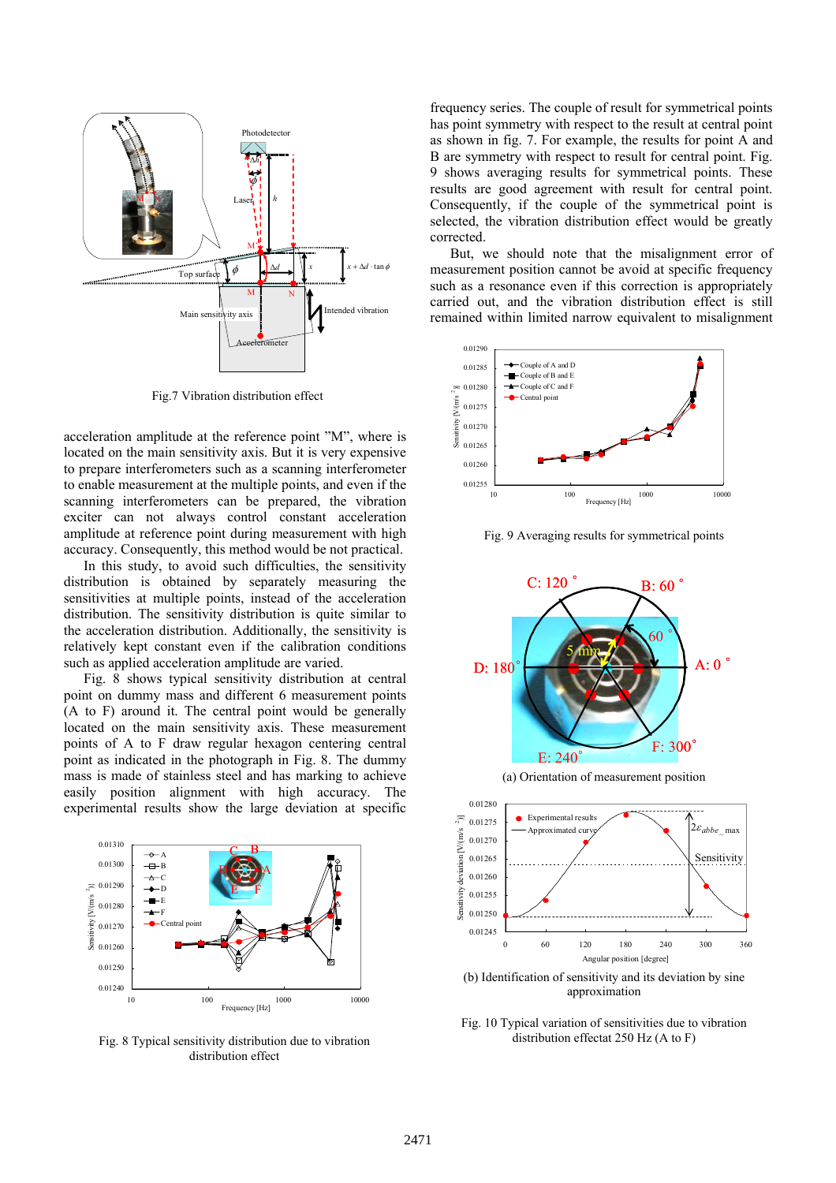

Fig.7 Vibration distribution effect

acceleration amplitude at the reference point "M", where is located on the main sensitivity axis. But it is very expensive to prepare interferometers such as a scanning interferometer to enable measurement at the multiple points, and even if the scanning interferometers can be prepared, the vibration exciter can not always control constant acceleration amplitude at reference point during measurement with high accuracy. Consequently, this method would be not practical.

In this study, to avoid such difficulties, the sensitivity distribution is obtained by separately measuring the sensitivities at multiple points, instead of the acceleration distribution. The sensitivity distribution is quite similar to the acceleration distribution. Additionally, the sensitivity is relatively kept constant even if the calibration conditions such as applied acceleration amplitude are varied.

Fig. 8 shows typical sensitivity distribution at central point on dummy mass and different 6 measurement points (A to F) around it. The central point would be generally located on the main sensitivity axis. These measurement points of A to F draw regular hexagon centering central point as indicated in the photograph in Fig. 8. The dummy mass is made of stainless steel and has marking to achieve easily position alignment with high accuracy. The experimental results show the large deviation at specific



Fig. 8 Typical sensitivity distribution due to vibration distribution effect

frequency series. The couple of result for symmetrical points has point symmetry with respect to the result at central point as shown in fig. 7. For example, the results for point A and B are symmetry with respect to result for central point. Fig. 9 shows averaging results for symmetrical points. These results are good agreement with result for central point. Consequently, if the couple of the symmetrical point is selected, the vibration distribution effect would be greatly corrected.

But, we should note that the misalignment error of measurement position cannot be avoid at specific frequency such as a resonance even if this correction is appropriately carried out, and the vibration distribution effect is still remained within limited narrow equivalent to misalignment



Fig. 9 Averaging results for symmetrical points



(a) Orientation of measurement position



approximation

Fig. 10 Typical variation of sensitivities due to vibration distribution effectat 250 Hz (A to F)